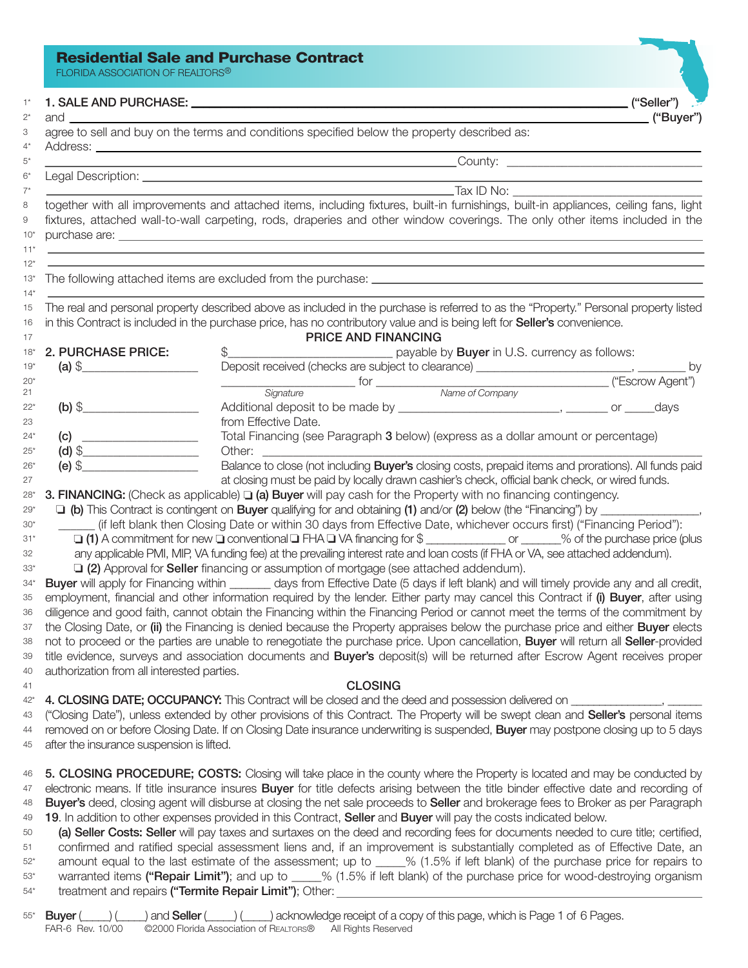# **Residential Sale and Purchase Contract**

FLORIDA ASSOCIATION OF REALTORS®

### 1\* **1. SALE AND PURCHASE:**  $\qquad \qquad$  ("Seller")

| C<br>and $\equiv$                                                                                                                                                                                                                                                                              | $\equiv$ ( $\sim$ $\sim$<br>("Buyer")                                                                                                                                                                                                                                  |  |  |  |
|------------------------------------------------------------------------------------------------------------------------------------------------------------------------------------------------------------------------------------------------------------------------------------------------|------------------------------------------------------------------------------------------------------------------------------------------------------------------------------------------------------------------------------------------------------------------------|--|--|--|
|                                                                                                                                                                                                                                                                                                | agree to sell and buy on the terms and conditions specified below the property described as:                                                                                                                                                                           |  |  |  |
| Address: <u>_________________________________</u>                                                                                                                                                                                                                                              |                                                                                                                                                                                                                                                                        |  |  |  |
|                                                                                                                                                                                                                                                                                                |                                                                                                                                                                                                                                                                        |  |  |  |
|                                                                                                                                                                                                                                                                                                |                                                                                                                                                                                                                                                                        |  |  |  |
|                                                                                                                                                                                                                                                                                                |                                                                                                                                                                                                                                                                        |  |  |  |
|                                                                                                                                                                                                                                                                                                | together with all improvements and attached items, including fixtures, built-in furnishings, built-in appliances, ceiling fans, light<br>fixtures, attached wall-to-wall carpeting, rods, draperies and other window coverings. The only other items included in the   |  |  |  |
|                                                                                                                                                                                                                                                                                                |                                                                                                                                                                                                                                                                        |  |  |  |
|                                                                                                                                                                                                                                                                                                | The real and personal property described above as included in the purchase is referred to as the "Property." Personal property listed                                                                                                                                  |  |  |  |
|                                                                                                                                                                                                                                                                                                | in this Contract is included in the purchase price, has no contributory value and is being left for Seller's convenience.<br><b>PRICE AND FINANCING</b>                                                                                                                |  |  |  |
| 2. PURCHASE PRICE:                                                                                                                                                                                                                                                                             |                                                                                                                                                                                                                                                                        |  |  |  |
| (a) $\frac{1}{2}$ (a) $\frac{1}{2}$ (a) $\frac{1}{2}$ (a) $\frac{1}{2}$ (a) $\frac{1}{2}$ (a) $\frac{1}{2}$ (a) $\frac{1}{2}$ (a) $\frac{1}{2}$ (b) $\frac{1}{2}$ (c) $\frac{1}{2}$ (c) $\frac{1}{2}$ (c) $\frac{1}{2}$ (e) $\frac{1}{2}$ (e) $\frac{1}{2}$ (e) $\frac{1}{2}$ (e) $\frac{1}{2$ |                                                                                                                                                                                                                                                                        |  |  |  |
|                                                                                                                                                                                                                                                                                                |                                                                                                                                                                                                                                                                        |  |  |  |
|                                                                                                                                                                                                                                                                                                |                                                                                                                                                                                                                                                                        |  |  |  |
|                                                                                                                                                                                                                                                                                                |                                                                                                                                                                                                                                                                        |  |  |  |
|                                                                                                                                                                                                                                                                                                | from Effective Date.                                                                                                                                                                                                                                                   |  |  |  |
| $\left(\begin{matrix} 0 \end{matrix}\right)$                                                                                                                                                                                                                                                   | Total Financing (see Paragraph 3 below) (express as a dollar amount or percentage)                                                                                                                                                                                     |  |  |  |
|                                                                                                                                                                                                                                                                                                | Other:                                                                                                                                                                                                                                                                 |  |  |  |
| (e) $\frac{1}{2}$ (e) $\frac{1}{2}$ (e) $\frac{1}{2}$ (e) $\frac{1}{2}$                                                                                                                                                                                                                        | Balance to close (not including Buyer's closing costs, prepaid items and prorations). All funds paid                                                                                                                                                                   |  |  |  |
|                                                                                                                                                                                                                                                                                                | at closing must be paid by locally drawn cashier's check, official bank check, or wired funds.                                                                                                                                                                         |  |  |  |
|                                                                                                                                                                                                                                                                                                | 3. FINANCING: (Check as applicable) $\Box$ (a) Buyer will pay cash for the Property with no financing contingency.                                                                                                                                                     |  |  |  |
|                                                                                                                                                                                                                                                                                                | $\Box$ (b) This Contract is contingent on Buyer qualifying for and obtaining (1) and/or (2) below (the "Financing") by $\Box$                                                                                                                                          |  |  |  |
|                                                                                                                                                                                                                                                                                                | (if left blank then Closing Date or within 30 days from Effective Date, whichever occurs first) ("Financing Period"):                                                                                                                                                  |  |  |  |
| □ (1) A commitment for new □ conventional □ FHA □ VA financing for \$ _______________________% of the purchase price (plus                                                                                                                                                                     |                                                                                                                                                                                                                                                                        |  |  |  |
|                                                                                                                                                                                                                                                                                                | any applicable PMI, MIP, VA funding fee) at the prevailing interest rate and loan costs (if FHA or VA, see attached addendum).                                                                                                                                         |  |  |  |
|                                                                                                                                                                                                                                                                                                | [2] Approval for Seller financing or assumption of mortgage (see attached addendum).                                                                                                                                                                                   |  |  |  |
|                                                                                                                                                                                                                                                                                                | Buyer will apply for Financing within ______ days from Effective Date (5 days if left blank) and will timely provide any and all credit,                                                                                                                               |  |  |  |
|                                                                                                                                                                                                                                                                                                | employment, financial and other information required by the lender. Either party may cancel this Contract if (i) Buyer, after using<br>diligence and good faith, cannot obtain the Financing within the Financing Period or cannot meet the terms of the commitment by |  |  |  |
|                                                                                                                                                                                                                                                                                                |                                                                                                                                                                                                                                                                        |  |  |  |
| the Closing Date, or (ii) the Financing is denied because the Property appraises below the purchase price and either Buyer elects<br>not to proceed or the parties are unable to renegotiate the purchase price. Upon cancellation, Buyer will return all Seller-provided                      |                                                                                                                                                                                                                                                                        |  |  |  |
|                                                                                                                                                                                                                                                                                                | title evidence, surveys and association documents and Buyer's deposit(s) will be returned after Escrow Agent receives proper                                                                                                                                           |  |  |  |
| authorization from all interested parties.                                                                                                                                                                                                                                                     |                                                                                                                                                                                                                                                                        |  |  |  |
|                                                                                                                                                                                                                                                                                                | <b>CLOSING</b>                                                                                                                                                                                                                                                         |  |  |  |
|                                                                                                                                                                                                                                                                                                |                                                                                                                                                                                                                                                                        |  |  |  |
| ("Closing Date"), unless extended by other provisions of this Contract. The Property will be swept clean and Seller's personal items                                                                                                                                                           |                                                                                                                                                                                                                                                                        |  |  |  |
| removed on or before Closing Date. If on Closing Date insurance underwriting is suspended, Buyer may postpone closing up to 5 days                                                                                                                                                             |                                                                                                                                                                                                                                                                        |  |  |  |
| after the insurance suspension is lifted.                                                                                                                                                                                                                                                      |                                                                                                                                                                                                                                                                        |  |  |  |
|                                                                                                                                                                                                                                                                                                | 5. CLOSING PROCEDURE; COSTS: Closing will take place in the county where the Property is located and may be conducted by                                                                                                                                               |  |  |  |
| electronic means. If title insurance insures <b>Buyer</b> for title defects arising between the title binder effective date and recording of                                                                                                                                                   |                                                                                                                                                                                                                                                                        |  |  |  |
|                                                                                                                                                                                                                                                                                                | Buyer's deed, closing agent will disburse at closing the net sale proceeds to Seller and brokerage fees to Broker as per Paragraph                                                                                                                                     |  |  |  |
|                                                                                                                                                                                                                                                                                                | 19. In addition to other expenses provided in this Contract, Seller and Buyer will pay the costs indicated below.                                                                                                                                                      |  |  |  |
|                                                                                                                                                                                                                                                                                                | (a) Seller Costs: Seller will pay taxes and surtaxes on the deed and recording fees for documents needed to cure title; certified,                                                                                                                                     |  |  |  |
|                                                                                                                                                                                                                                                                                                | confirmed and ratified special assessment liens and, if an improvement is substantially completed as of Effective Date, an                                                                                                                                             |  |  |  |
|                                                                                                                                                                                                                                                                                                | amount equal to the last estimate of the assessment; up to ____% (1.5% if left blank) of the purchase price for repairs to                                                                                                                                             |  |  |  |
|                                                                                                                                                                                                                                                                                                | warranted items ("Repair Limit"); and up to ____% (1.5% if left blank) of the purchase price for wood-destroying organism                                                                                                                                              |  |  |  |

54\* treatment and repairs **("Termite Repair Limit")**; Other: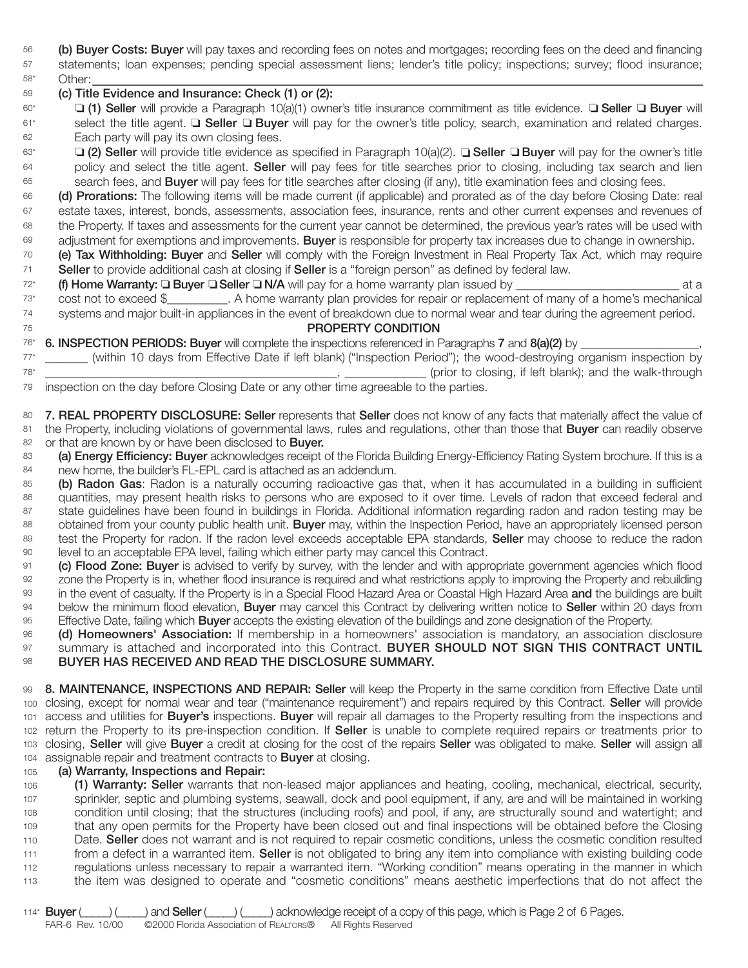- 56 57 58\* **(b) Buyer Costs: Buyer** will pay taxes and recording fees on notes and mortgages; recording fees on the deed and financing statements; loan expenses; pending special assessment liens; lender's title policy; inspections; survey; flood insurance; Other:
- 59 **(c) Title Evidence and Insurance: Check (1) or (2):**

75

- $60*$ 61\* 62 **□ (1) Seller** will provide a Paragraph 10(a)(1) owner's title insurance commitment as title evidence. □ Seller □ Buyer will select the title agent. **□ Seller □ Buyer** will pay for the owner's title policy, search, examination and related charges. Each party will pay its own closing fees.
- 63\*  $64$ 65 **□ (2) Seller** will provide title evidence as specified in Paragraph 10(a)(2). □ Seller □ Buyer will pay for the owner's title policy and select the title agent. **Seller** will pay fees for title searches prior to closing, including tax search and lien search fees, and **Buyer** will pay fees for title searches after closing (if any), title examination fees and closing fees.
- 66 67 68 69 **(d) Prorations:** The following items will be made current (if applicable) and prorated as of the day before Closing Date: real estate taxes, interest, bonds, assessments, association fees, insurance, rents and other current expenses and revenues of the Property. If taxes and assessments for the current year cannot be determined, the previous year's rates will be used with adjustment for exemptions and improvements. **Buyer** is responsible for property tax increases due to change in ownership.
- 70 71 **(e) Tax Withholding: Buyer** and **Seller** will comply with the Foreign Investment in Real Property Tax Act, which may require **Seller** to provide additional cash at closing if **Seller** is a "foreign person" as defined by federal law.
- 72\*
- 73\* 74 **(f) Home Warranty: □ Buyer □ Seller □ N/A** will pay for a home warranty plan issued by \_\_\_\_\_\_\_\_\_\_\_\_\_\_\_\_\_\_\_\_\_\_\_\_\_\_\_\_\_\_\_\_at a cost not to exceed \$ . A home warranty plan provides for repair or replacement of many of a home's mechanical systems and major built-in appliances in the event of breakdown due to normal wear and tear during the agreement period.

# **PROPERTY CONDITION**

- 76\* 77\* **6. INSPECTION PERIODS: Buyer** will complete the inspections referenced in Paragraphs **7** and **8(a)(2)** by \_\_\_\_\_\_\_\_\_\_\_\_\_\_\_\_\_\_\_\_,
- 78\* \_\_\_\_\_\_\_ (within 10 days from Effective Date if left blank) ("Inspection Period"); the wood-destroying organism inspection by \_\_\_\_\_\_\_\_\_\_\_\_\_\_\_\_\_\_\_\_\_\_\_\_\_\_\_\_\_\_\_\_\_\_\_\_\_\_\_\_\_\_\_, \_\_\_\_\_\_\_\_\_\_\_\_ (prior to closing, if left blank); and the walk-through
- 79 inspection on the day before Closing Date or any other time agreeable to the parties.
- 80 81 82 **7. REAL PROPERTY DISCLOSURE: Seller** represents that **Seller** does not know of any facts that materially affect the value of the Property, including violations of governmental laws, rules and regulations, other than those that **Buyer** can readily observe or that are known by or have been disclosed to **Buyer.**
- 83 84 **(a) Energy Efficiency: Buyer** acknowledges receipt of the Florida Building Energy-Efficiency Rating System brochure. If this is a new home, the builder's FL-EPL card is attached as an addendum.
- 85 86 87 88 89 90 **(b) Radon Gas**: Radon is a naturally occurring radioactive gas that, when it has accumulated in a building in sufficient quantities, may present health risks to persons who are exposed to it over time. Levels of radon that exceed federal and state guidelines have been found in buildings in Florida. Additional information regarding radon and radon testing may be obtained from your county public health unit. **Buyer** may, within the Inspection Period, have an appropriately licensed person test the Property for radon. If the radon level exceeds acceptable EPA standards, **Seller** may choose to reduce the radon level to an acceptable EPA level, failing which either party may cancel this Contract.
- 91 92 93 94 95 **(c) Flood Zone: Buyer** is advised to verify by survey, with the lender and with appropriate government agencies which flood zone the Property is in, whether flood insurance is required and what restrictions apply to improving the Property and rebuilding in the event of casualty. If the Property is in a Special Flood Hazard Area or Coastal High Hazard Area **and** the buildings are built below the minimum flood elevation, **Buyer** may cancel this Contract by delivering written notice to **Seller** within 20 days from Effective Date, failing which **Buyer** accepts the existing elevation of the buildings and zone designation of the Property.
- 96 **(d) Homeowners' Association:** If membership in a homeowners' association is mandatory, an association disclosure
- 97 98 summary is attached and incorporated into this Contract. **BUYER SHOULD NOT SIGN THIS CONTRACT UNTIL BUYER HAS RECEIVED AND READ THE DISCLOSURE SUMMARY.**
- 99 100 101 102 103 closing, **Seller** will give **Buyer** a credit at closing for the cost of the repairs **Seller** was obligated to make. **Seller** will assign all 104 **8. MAINTENANCE, INSPECTIONS AND REPAIR: Seller** will keep the Property in the same condition from Effective Date until closing, except for normal wear and tear ("maintenance requirement") and repairs required by this Contract. **Seller** will provide access and utilities for **Buyer's** inspections. **Buyer** will repair all damages to the Property resulting from the inspections and return the Property to its pre-inspection condition. If **Seller** is unable to complete required repairs or treatments prior to assignable repair and treatment contracts to **Buyer** at closing.

#### 105 **(a) Warranty, Inspections and Repair:**

- 106 107 108 109 110 111 112 113 **(1) Warranty: Seller** warrants that non-leased major appliances and heating, cooling, mechanical, electrical, security, sprinkler, septic and plumbing systems, seawall, dock and pool equipment, if any, are and will be maintained in working condition until closing; that the structures (including roofs) and pool, if any, are structurally sound and watertight; and that any open permits for the Property have been closed out and final inspections will be obtained before the Closing Date. **Seller** does not warrant and is not required to repair cosmetic conditions, unless the cosmetic condition resulted from a defect in a warranted item. **Seller** is not obligated to bring any item into compliance with existing building code regulations unless necessary to repair a warranted item. "Working condition" means operating in the manner in which the item was designed to operate and "cosmetic conditions" means aesthetic imperfections that do not affect the
- 114\* **Buyer** ( **Buyer** (\_\_\_\_\_) (\_\_\_\_\_) and **Seller** (\_\_\_\_\_) (\_\_\_\_\_) acknowledge receipt of a copy of this page, which is Page 2 of 6 Pages. FAR-6 Rev. 10/00 ©2000 Florida Association of REALTORS® All Rights Reserved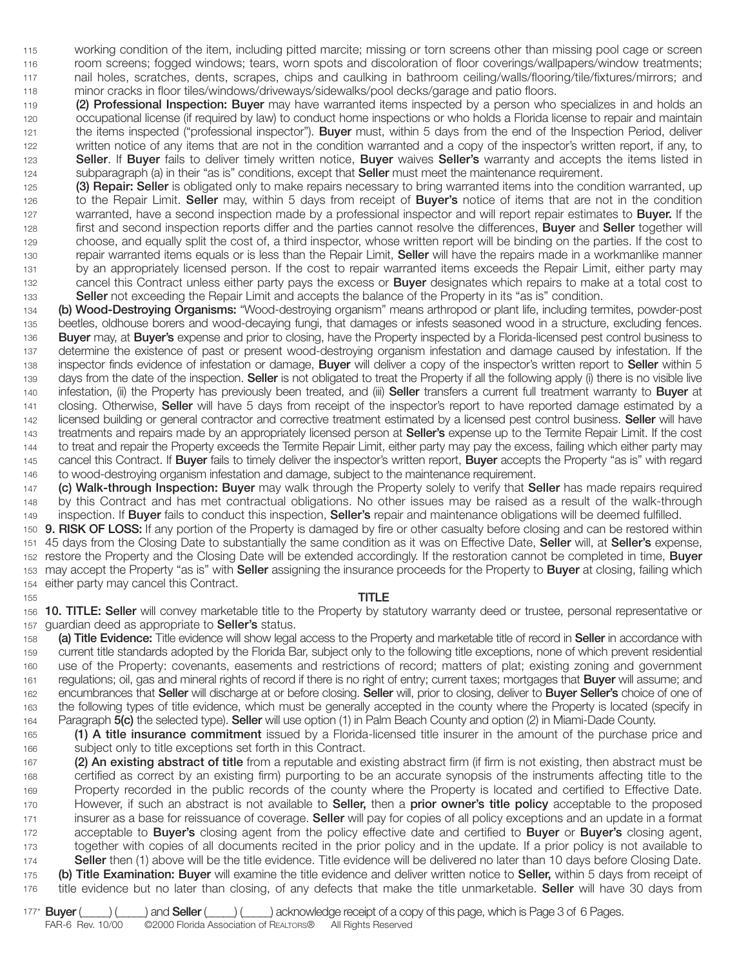115 116 117 118 working condition of the item, including pitted marcite; missing or torn screens other than missing pool cage or screen room screens; fogged windows; tears, worn spots and discoloration of floor coverings/wallpapers/window treatments; nail holes, scratches, dents, scrapes, chips and caulking in bathroom ceiling/walls/flooring/tile/fixtures/mirrors; and minor cracks in floor tiles/windows/driveways/sidewalks/pool decks/garage and patio floors.

119 120 121 122 123 124 **(2) Professional Inspection: Buyer** may have warranted items inspected by a person who specializes in and holds an occupational license (if required by law) to conduct home inspections or who holds a Florida license to repair and maintain the items inspected ("professional inspector"). **Buyer** must, within 5 days from the end of the Inspection Period, deliver written notice of any items that are not in the condition warranted and a copy of the inspector's written report, if any, to **Seller**. If **Buyer** fails to deliver timely written notice, **Buyer** waives **Seller's** warranty and accepts the items listed in subparagraph (a) in their "as is" conditions, except that **Seller** must meet the maintenance requirement.

125 126 127 128 129 130 131 132 133 **(3) Repair: Seller** is obligated only to make repairs necessary to bring warranted items into the condition warranted, up to the Repair Limit. **Seller** may, within 5 days from receipt of **Buyer's** notice of items that are not in the condition warranted, have a second inspection made by a professional inspector and will report repair estimates to **Buyer.** If the first and second inspection reports differ and the parties cannot resolve the differences, **Buyer** and **Seller** together will choose, and equally split the cost of, a third inspector, whose written report will be binding on the parties. If the cost to repair warranted items equals or is less than the Repair Limit, **Seller** will have the repairs made in a workmanlike manner by an appropriately licensed person. If the cost to repair warranted items exceeds the Repair Limit, either party may cancel this Contract unless either party pays the excess or **Buyer** designates which repairs to make at a total cost to **Seller** not exceeding the Repair Limit and accepts the balance of the Property in its "as is" condition.

134 135 136 137 138 139 140 141 142 143 144 145 146 **(b) Wood-Destroying Organisms:** "Wood-destroying organism" means arthropod or plant life, including termites, powder-post beetles, oldhouse borers and wood-decaying fungi, that damages or infests seasoned wood in a structure, excluding fences. **Buyer** may, at **Buyer's** expense and prior to closing, have the Property inspected by a Florida-licensed pest control business to determine the existence of past or present wood-destroying organism infestation and damage caused by infestation. If the inspector finds evidence of infestation or damage, **Buyer** will deliver a copy of the inspector's written report to **Seller** within 5 days from the date of the inspection. **Seller** is not obligated to treat the Property if all the following apply (i) there is no visible live infestation, (ii) the Property has previously been treated, and (iii) **Seller** transfers a current full treatment warranty to **Buyer** at closing. Otherwise, **Seller** will have 5 days from receipt of the inspector's report to have reported damage estimated by a licensed building or general contractor and corrective treatment estimated by a licensed pest control business. **Seller** will have treatments and repairs made by an appropriately licensed person at **Seller's** expense up to the Termite Repair Limit. If the cost to treat and repair the Property exceeds the Termite Repair Limit, either party may pay the excess, failing which either party may cancel this Contract. If **Buyer** fails to timely deliver the inspector's written report, **Buyer** accepts the Property "as is" with regard to wood-destroying organism infestation and damage, subject to the maintenance requirement.

147 148 149 **(c) Walk-through Inspection: Buyer** may walk through the Property solely to verify that **Seller** has made repairs required by this Contract and has met contractual obligations. No other issues may be raised as a result of the walk-through inspection. If **Buyer** fails to conduct this inspection, **Seller's** repair and maintenance obligations will be deemed fulfilled.

150 151 152 153 154 **9. RISK OF LOSS:** If any portion of the Property is damaged by fire or other casualty before closing and can be restored within 45 days from the Closing Date to substantially the same condition as it was on Effective Date, **Seller** will, at **Seller's** expense, restore the Property and the Closing Date will be extended accordingly. If the restoration cannot be completed in time, **Buyer**  may accept the Property "as is" with **Seller** assigning the insurance proceeds for the Property to **Buyer** at closing, failing which either party may cancel this Contract.

# **TITLE**

156 157 **10. TITLE: Seller** will convey marketable title to the Property by statutory warranty deed or trustee, personal representative or guardian deed as appropriate to **Seller's** status.

155

158 159 160 161 162 163 164 **(a) Title Evidence:** Title evidence will show legal access to the Property and marketable title of record in **Seller** in accordance with current title standards adopted by the Florida Bar, subject only to the following title exceptions, none of which prevent residential use of the Property: covenants, easements and restrictions of record; matters of plat; existing zoning and government regulations; oil, gas and mineral rights of record if there is no right of entry; current taxes; mortgages that **Buyer** will assume; and encumbrances that **Seller** will discharge at or before closing. **Seller** will, prior to closing, deliver to **Buyer Seller's** choice of one of the following types of title evidence, which must be generally accepted in the county where the Property is located (specify in Paragraph **5(c)** the selected type). **Seller** will use option (1) in Palm Beach County and option (2) in Miami-Dade County.

165 166 **(1) A title insurance commitment** issued by a Florida-licensed title insurer in the amount of the purchase price and subject only to title exceptions set forth in this Contract.

167 168 169 170 171 172 173 174 175 176 **(2) An existing abstract of title** from a reputable and existing abstract firm (if firm is not existing, then abstract must be certified as correct by an existing firm) purporting to be an accurate synopsis of the instruments affecting title to the Property recorded in the public records of the county where the Property is located and certified to Effective Date. However, if such an abstract is not available to **Seller,** then a **prior owner's title policy** acceptable to the proposed insurer as a base for reissuance of coverage. **Seller** will pay for copies of all policy exceptions and an update in a format acceptable to **Buyer's** closing agent from the policy effective date and certified to **Buyer** or **Buyer's** closing agent, together with copies of all documents recited in the prior policy and in the update. If a prior policy is not available to Seller then (1) above will be the title evidence. Title evidence will be delivered no later than 10 days before Closing Date. **(b) Title Examination: Buyer** will examine the title evidence and deliver written notice to **Seller,** within 5 days from receipt of title evidence but no later than closing, of any defects that make the title unmarketable. **Seller** will have 30 days from

177\* **Buver** ( **Buyer** (\_\_\_\_\_) (\_\_\_\_\_) and **Seller** (\_\_\_\_\_) (\_\_\_\_\_) acknowledge receipt of a copy of this page, which is Page 3 of 6 Pages. FAR-6 Rev. 10/00 ©2000 Florida Association of REALTORS® All Rights Reserved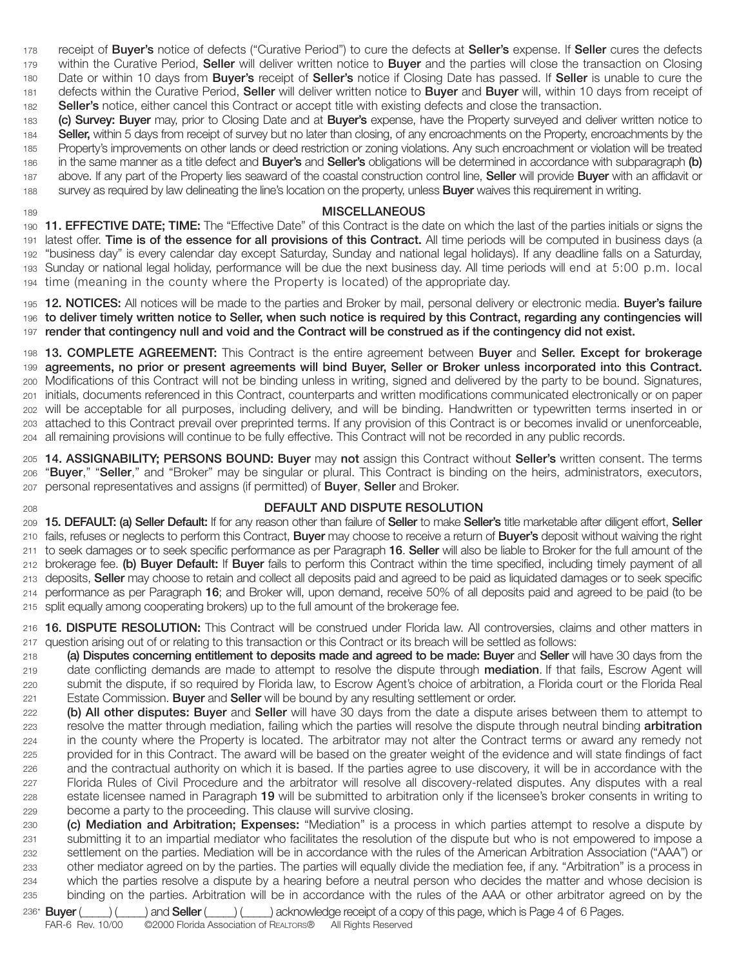178 179 180 181 182 receipt of **Buyer's** notice of defects ("Curative Period") to cure the defects at **Seller's** expense. If **Seller** cures the defects within the Curative Period, **Seller** will deliver written notice to **Buyer** and the parties will close the transaction on Closing Date or within 10 days from **Buyer's** receipt of **Seller's** notice if Closing Date has passed. If **Seller** is unable to cure the defects within the Curative Period, **Seller** will deliver written notice to **Buyer** and **Buyer** will, within 10 days from receipt of **Seller's** notice, either cancel this Contract or accept title with existing defects and close the transaction.

183 184 185 186 **(c) Survey: Buyer** may, prior to Closing Date and at **Buyer's** expense, have the Property surveyed and deliver written notice to **Seller,** within 5 days from receipt of survey but no later than closing, of any encroachments on the Property, encroachments by the Property's improvements on other lands or deed restriction or zoning violations. Any such encroachment or violation will be treated in the same manner as a title defect and **Buyer's** and **Seller's** obligations will be determined in accordance with subparagraph **(b)** 

187 188 above. If any part of the Property lies seaward of the coastal construction control line, **Seller** will provide **Buyer** with an affidavit or survey as required by law delineating the line's location on the property, unless **Buyer** waives this requirement in writing.

189

### **MISCELLANEOUS**

190 191 192 193 194 **11. EFFECTIVE DATE; TIME:** The "Effective Date" of this Contract is the date on which the last of the parties initials or signs the latest offer. **Time is of the essence for all provisions of this Contract.** All time periods will be computed in business days (a "business day" is every calendar day except Saturday, Sunday and national legal holidays). If any deadline falls on a Saturday, Sunday or national legal holiday, performance will be due the next business day. All time periods will end at 5:00 p.m. local time (meaning in the county where the Property is located) of the appropriate day.

195 196 197 **12. NOTICES:** All notices will be made to the parties and Broker by mail, personal delivery or electronic media. **Buyer's failure to deliver timely written notice to Seller, when such notice is required by this Contract, regarding any contingencies will render that contingency null and void and the Contract will be construed as if the contingency did not exist.** 

198 199 200 201 202 203 204 **13. COMPLETE AGREEMENT:** This Contract is the entire agreement between **Buyer** and **Seller. Except for brokerage agreements, no prior or present agreements will bind Buyer, Seller or Broker unless incorporated into this Contract.**  Modifications of this Contract will not be binding unless in writing, signed and delivered by the party to be bound. Signatures, initials, documents referenced in this Contract, counterparts and written modifications communicated electronically or on paper will be acceptable for all purposes, including delivery, and will be binding. Handwritten or typewritten terms inserted in or attached to this Contract prevail over preprinted terms. If any provision of this Contract is or becomes invalid or unenforceable, all remaining provisions will continue to be fully effective. This Contract will not be recorded in any public records.

205 206 207 **14. ASSIGNABILITY; PERSONS BOUND: Buyer** may **not** assign this Contract without **Seller's** written consent. The terms "**Buyer**," "**Seller**," and "Broker" may be singular or plural. This Contract is binding on the heirs, administrators, executors, personal representatives and assigns (if permitted) of **Buyer**, **Seller** and Broker.

208

# **DEFAULT AND DISPUTE RESOLUTION**

209 210 211 212 213 214 215 **15. DEFAULT: (a) Seller Default:** If for any reason other than failure of **Seller** to make **Seller's** title marketable after diligent effort, **Seller**  fails, refuses or neglects to perform this Contract, **Buyer** may choose to receive a return of **Buyer's** deposit without waiving the right to seek damages or to seek specific performance as per Paragraph **16**. **Seller** will also be liable to Broker for the full amount of the brokerage fee. **(b) Buyer Default:** If **Buyer** fails to perform this Contract within the time specified, including timely payment of all deposits, **Seller** may choose to retain and collect all deposits paid and agreed to be paid as liquidated damages or to seek specific performance as per Paragraph **16**; and Broker will, upon demand, receive 50% of all deposits paid and agreed to be paid (to be split equally among cooperating brokers) up to the full amount of the brokerage fee.

216 217 **16. DISPUTE RESOLUTION:** This Contract will be construed under Florida law. All controversies, claims and other matters in question arising out of or relating to this transaction or this Contract or its breach will be settled as follows:

218 219 220 221 **(a) Disputes concerning entitlement to deposits made and agreed to be made: Buyer and Seller will have 30 days from the** date conflicting demands are made to attempt to resolve the dispute through **mediation**. If that fails, Escrow Agent will submit the dispute, if so required by Florida law, to Escrow Agent's choice of arbitration, a Florida court or the Florida Real Estate Commission. **Buyer** and **Seller** will be bound by any resulting settlement or order.

222 223 224 225 226 227 228 229 **(b) All other disputes: Buyer** and **Seller** will have 30 days from the date a dispute arises between them to attempt to resolve the matter through mediation, failing which the parties will resolve the dispute through neutral binding **arbitration**  in the county where the Property is located. The arbitrator may not alter the Contract terms or award any remedy not provided for in this Contract. The award will be based on the greater weight of the evidence and will state findings of fact and the contractual authority on which it is based. If the parties agree to use discovery, it will be in accordance with the Florida Rules of Civil Procedure and the arbitrator will resolve all discovery-related disputes. Any disputes with a real estate licensee named in Paragraph **19** will be submitted to arbitration only if the licensee's broker consents in writing to become a party to the proceeding. This clause will survive closing.

230 231 232 233 234 235 **(c) Mediation and Arbitration; Expenses:** "Mediation" is a process in which parties attempt to resolve a dispute by submitting it to an impartial mediator who facilitates the resolution of the dispute but who is not empowered to impose a settlement on the parties. Mediation will be in accordance with the rules of the American Arbitration Association ("AAA") or other mediator agreed on by the parties. The parties will equally divide the mediation fee, if any. "Arbitration" is a process in which the parties resolve a dispute by a hearing before a neutral person who decides the matter and whose decision is binding on the parties. Arbitration will be in accordance with the rules of the AAA or other arbitrator agreed on by the

236\* Buyer ( **Buyer** (\_\_\_\_\_) (\_\_\_\_\_) and **Seller** (\_\_\_\_\_) (\_\_\_\_\_) acknowledge receipt of a copy of this page, which is Page 4 of 6 Pages. FAR-6 Rev. 10/00 ©2000 Florida Association of REALTORS® All Rights Reserved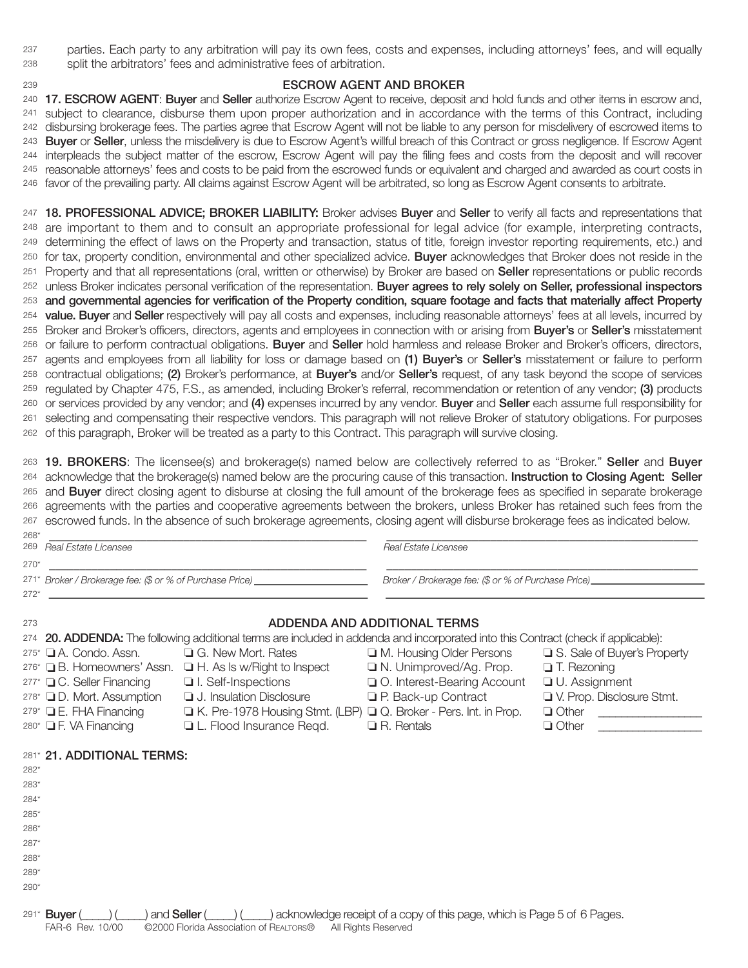- 237
- 238
- 239

# **ESCROW AGENT AND BROKER**

split the arbitrators' fees and administrative fees of arbitration.

parties. Each party to any arbitration will pay its own fees, costs and expenses, including attorneys' fees, and will equally

240 241 242 243 244 245 246 **17. ESCROW AGENT**: **Buyer** and **Seller** authorize Escrow Agent to receive, deposit and hold funds and other items in escrow and, subject to clearance, disburse them upon proper authorization and in accordance with the terms of this Contract, including disbursing brokerage fees. The parties agree that Escrow Agent will not be liable to any person for misdelivery of escrowed items to **Buyer** or **Seller**, unless the misdelivery is due to Escrow Agent's willful breach of this Contract or gross negligence. If Escrow Agent interpleads the subject matter of the escrow, Escrow Agent will pay the filing fees and costs from the deposit and will recover reasonable attorneys' fees and costs to be paid from the escrowed funds or equivalent and charged and awarded as court costs in favor of the prevailing party. All claims against Escrow Agent will be arbitrated, so long as Escrow Agent consents to arbitrate.

247 248 249 250 251 252 253 254 255 256 257 258 259 260 261 262 **18. PROFESSIONAL ADVICE; BROKER LIABILITY:** Broker advises **Buyer** and **Seller** to verify all facts and representations that are important to them and to consult an appropriate professional for legal advice (for example, interpreting contracts, determining the effect of laws on the Property and transaction, status of title, foreign investor reporting requirements, etc.) and for tax, property condition, environmental and other specialized advice. **Buyer** acknowledges that Broker does not reside in the Property and that all representations (oral, written or otherwise) by Broker are based on **Seller** representations or public records unless Broker indicates personal verification of the representation. **Buyer agrees to rely solely on Seller, professional inspectors and governmental agencies for verification of the Property condition, square footage and facts that materially affect Property value. Buyer** and **Seller** respectively will pay all costs and expenses, including reasonable attorneys' fees at all levels, incurred by Broker and Broker's officers, directors, agents and employees in connection with or arising from **Buyer's** or **Seller's** misstatement or failure to perform contractual obligations. **Buyer** and **Seller** hold harmless and release Broker and Broker's officers, directors, agents and employees from all liability for loss or damage based on **(1) Buyer's** or **Seller's** misstatement or failure to perform contractual obligations; **(2)** Broker's performance, at **Buyer's** and/or **Seller's** request, of any task beyond the scope of services regulated by Chapter 475, F.S., as amended, including Broker's referral, recommendation or retention of any vendor; **(3)** products or services provided by any vendor; and **(4)** expenses incurred by any vendor. **Buyer** and **Seller** each assume full responsibility for selecting and compensating their respective vendors. This paragraph will not relieve Broker of statutory obligations. For purposes of this paragraph, Broker will be treated as a party to this Contract. This paragraph will survive closing.

263 264 265 266 267 268\* **19. BROKERS**: The licensee(s) and brokerage(s) named below are collectively referred to as "Broker." **Seller** and **Buyer**  acknowledge that the brokerage(s) named below are the procuring cause of this transaction. **Instruction to Closing Agent: Seller**  and **Buyer** direct closing agent to disburse at closing the full amount of the brokerage fees as specified in separate brokerage agreements with the parties and cooperative agreements between the brokers, unless Broker has retained such fees from the escrowed funds. In the absence of such brokerage agreements, closing agent will disburse brokerage fees as indicated below*.* 

| 268*   |                                        |                                                                                                                                           |                                                                                   |                               |
|--------|----------------------------------------|-------------------------------------------------------------------------------------------------------------------------------------------|-----------------------------------------------------------------------------------|-------------------------------|
| 269    | Real Estate Licensee                   |                                                                                                                                           | Real Estate Licensee                                                              |                               |
| $270*$ |                                        |                                                                                                                                           |                                                                                   |                               |
|        |                                        | 271* Broker / Brokerage fee: (\$ or % of Purchase Price) ________________________                                                         | Broker / Brokerage fee: $$$ or % of Purchase Price) _____________________________ |                               |
| $272*$ |                                        |                                                                                                                                           |                                                                                   |                               |
|        |                                        |                                                                                                                                           |                                                                                   |                               |
| 273    |                                        |                                                                                                                                           | ADDENDA AND ADDITIONAL TERMS                                                      |                               |
|        |                                        | 274 <b>20. ADDENDA:</b> The following additional terms are included in addenda and incorporated into this Contract (check if applicable): |                                                                                   |                               |
|        | $275^*$ $\Box$ A. Condo. Assn.         | <b>G.</b> New Mort. Rates                                                                                                                 | <b>La M. Housing Older Persons</b>                                                | □ S. Sale of Buyer's Property |
|        | 276* □ B. Homeowners' Assn.            | $\Box$ H. As Is w/Right to Inspect                                                                                                        | $\Box$ N. Unimproved/Ag. Prop.                                                    | $\Box$ T. Rezoning            |
|        | 277 <sup>*</sup> □ C. Seller Financing | □ I. Self-Inspections                                                                                                                     | O. Interest-Bearing Account                                                       | $\Box$ U. Assignment          |
|        | 278* <b>D. Mort. Assumption</b>        | <b>J.</b> Insulation Disclosure                                                                                                           | <b>D</b> P. Back-up Contract                                                      | V. Prop. Disclosure Stmt.     |
|        | 279* $\Box$ E. FHA Financing           | □ K. Pre-1978 Housing Stmt. (LBP) □ Q. Broker - Pers. Int. in Prop.                                                                       |                                                                                   | $\Box$ Other                  |

**□** R. Rentals

\_\_\_\_\_\_\_\_\_\_\_\_\_\_\_\_\_\_

❏

 $280^*$   $\Box$  F. VA Financing  $\Box$ 

### 281\* **21. ADDITIONAL TERMS:**

| 282*                      |                       |                                                                         |
|---------------------------|-----------------------|-------------------------------------------------------------------------|
| $283*$                    |                       |                                                                         |
| $284*$                    |                       |                                                                         |
| $285*$                    |                       |                                                                         |
| 286*                      |                       |                                                                         |
| $287*$                    |                       |                                                                         |
| 288*                      |                       |                                                                         |
| 289*                      |                       |                                                                         |
| 290*                      |                       |                                                                         |
|                           |                       |                                                                         |
| $291*$ <b>Ruvor</b> $($ 1 | $\log 2$ and Collor ( | ) acknowledge meaint of a copy of this page, which is Page 5 of 6 Pages |

**E.** L. Flood Insurance Regd.